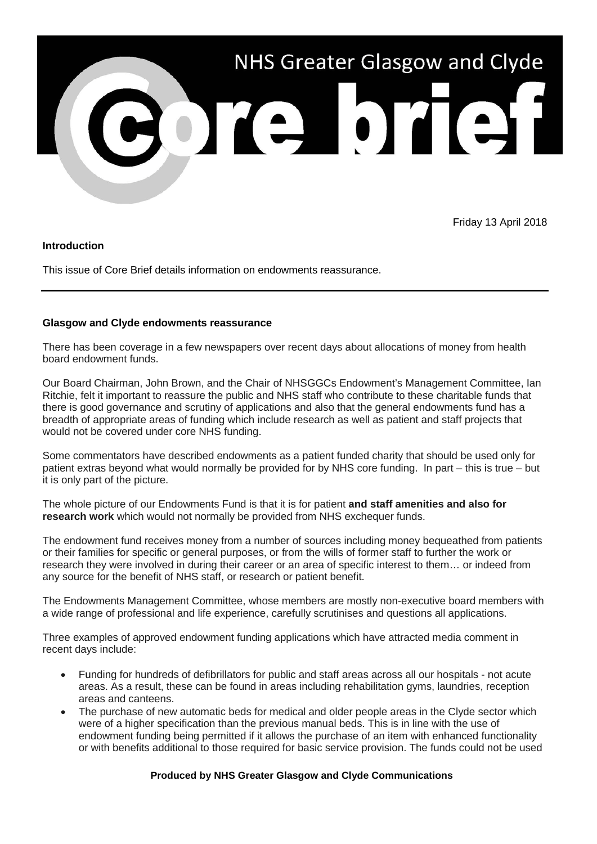

Friday 13 April 2018

## **Introduction**

This issue of Core Brief details information on endowments reassurance.

## **Glasgow and Clyde endowments reassurance**

There has been coverage in a few newspapers over recent days about allocations of money from health board endowment funds.

Our Board Chairman, John Brown, and the Chair of NHSGGCs Endowment's Management Committee, Ian Ritchie, felt it important to reassure the public and NHS staff who contribute to these charitable funds that there is good governance and scrutiny of applications and also that the general endowments fund has a breadth of appropriate areas of funding which include research as well as patient and staff projects that would not be covered under core NHS funding.

Some commentators have described endowments as a patient funded charity that should be used only for patient extras beyond what would normally be provided for by NHS core funding. In part – this is true – but it is only part of the picture.

The whole picture of our Endowments Fund is that it is for patient **and staff amenities and also for research work** which would not normally be provided from NHS exchequer funds.

The endowment fund receives money from a number of sources including money bequeathed from patients or their families for specific or general purposes, or from the wills of former staff to further the work or research they were involved in during their career or an area of specific interest to them… or indeed from any source for the benefit of NHS staff, or research or patient benefit.

The Endowments Management Committee, whose members are mostly non-executive board members with a wide range of professional and life experience, carefully scrutinises and questions all applications.

Three examples of approved endowment funding applications which have attracted media comment in recent days include:

- Funding for hundreds of defibrillators for public and staff areas across all our hospitals not acute areas. As a result, these can be found in areas including rehabilitation gyms, laundries, reception areas and canteens.
- The purchase of new automatic beds for medical and older people areas in the Clyde sector which were of a higher specification than the previous manual beds. This is in line with the use of endowment funding being permitted if it allows the purchase of an item with enhanced functionality or with benefits additional to those required for basic service provision. The funds could not be used

## **Produced by NHS Greater Glasgow and Clyde Communications**